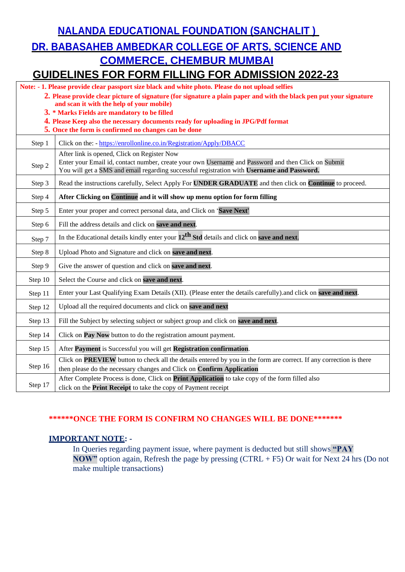**NALANDA EDUCATIONAL FOUNDATION (SANCHALIT )**

# **DR. BABASAHEB AMBEDKAR COLLEGE OF ARTS, SCIENCE AND COMMERCE, CHEMBUR MUMBAI**

### **GUIDELINES FOR FORM FILLING FOR ADMISSION 2022-23**

| Note: - 1. Please provide clear passport size black and white photo. Please do not upload selfies                   |                                                                                                                                                                                                                                                  |  |
|---------------------------------------------------------------------------------------------------------------------|--------------------------------------------------------------------------------------------------------------------------------------------------------------------------------------------------------------------------------------------------|--|
| 2. Please provide clear picture of signature (for signature a plain paper and with the black pen put your signature |                                                                                                                                                                                                                                                  |  |
| and scan it with the help of your mobile)<br>3. * Marks Fields are mandatory to be filled                           |                                                                                                                                                                                                                                                  |  |
| 4. Please Keep also the necessary documents ready for uploading in JPG/Pdf format                                   |                                                                                                                                                                                                                                                  |  |
| 5. Once the form is confirmed no changes can be done                                                                |                                                                                                                                                                                                                                                  |  |
| Step 1                                                                                                              | Click on the: - https://enrollonline.co.in/Registration/Apply/DBACC                                                                                                                                                                              |  |
| Step 2                                                                                                              | After link is opened, Click on Register Now<br>Enter your Email id, contact number, create your own Username and Password and then Click on Submit<br>You will get a SMS and email regarding successful registration with Username and Password. |  |
| Step 3                                                                                                              | Read the instructions carefully, Select Apply For UNDER GRADUATE and then click on Continue to proceed.                                                                                                                                          |  |
| Step 4                                                                                                              | After Clicking on Continue and it will show up menu option for form filling                                                                                                                                                                      |  |
| Step 5                                                                                                              | Enter your proper and correct personal data, and Click on 'Save Next'                                                                                                                                                                            |  |
| Step 6                                                                                                              | Fill the address details and click on save and next.                                                                                                                                                                                             |  |
| Step 7                                                                                                              | In the Educational details kindly enter your $12^{th}$ Std details and click on save and next.                                                                                                                                                   |  |
| Step 8                                                                                                              | Upload Photo and Signature and click on save and next.                                                                                                                                                                                           |  |
| Step 9                                                                                                              | Give the answer of question and click on save and next.                                                                                                                                                                                          |  |
| Step 10                                                                                                             | Select the Course and click on save and next.                                                                                                                                                                                                    |  |
| Step 11                                                                                                             | Enter your Last Qualifying Exam Details (XII). (Please enter the details carefully) and click on save and next.                                                                                                                                  |  |
| Step 12                                                                                                             | Upload all the required documents and click on save and next                                                                                                                                                                                     |  |
| Step 13                                                                                                             | Fill the Subject by selecting subject or subject group and click on save and next.                                                                                                                                                               |  |
| Step 14                                                                                                             | Click on Pay Now button to do the registration amount payment.                                                                                                                                                                                   |  |
| Step 15                                                                                                             | After Payment is Successful you will get Registration confirmation.                                                                                                                                                                              |  |
| Step 16                                                                                                             | Click on <b>PREVIEW</b> button to check all the details entered by you in the form are correct. If any correction is there<br>then please do the necessary changes and Click on Confirm Application                                              |  |
| Step 17                                                                                                             | After Complete Process is done, Click on Print Application to take copy of the form filled also<br>click on the <b>Print Receipt</b> to take the copy of Payment receipt                                                                         |  |

#### **\*\*\*\*\*\*ONCE THE FORM IS CONFIRM NO CHANGES WILL BE DONE\*\*\*\*\*\*\***

#### **IMPORTANT NOTE: -**

In Queries regarding payment issue, where payment is deducted but still shows **"PAY NOW"** option again, Refresh the page by pressing (CTRL + F5) Or wait for Next 24 hrs (Do not make multiple transactions)